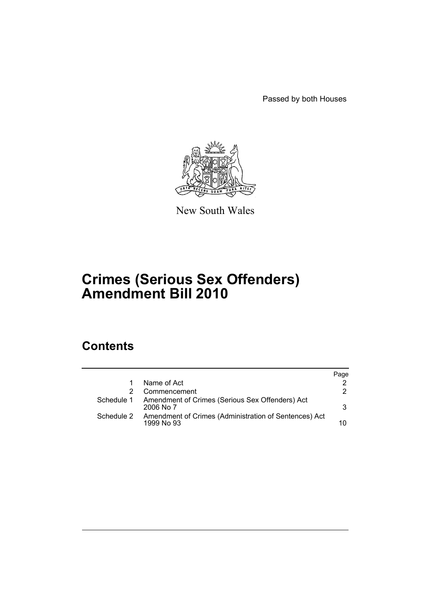Passed by both Houses



New South Wales

# **Crimes (Serious Sex Offenders) Amendment Bill 2010**

# **Contents**

|            |                                                                     | Page |
|------------|---------------------------------------------------------------------|------|
|            | Name of Act                                                         | 2    |
|            | Commencement                                                        | 2    |
| Schedule 1 | Amendment of Crimes (Serious Sex Offenders) Act<br>2006 No 7        | 3    |
| Schedule 2 | Amendment of Crimes (Administration of Sentences) Act<br>1999 No 93 | 10   |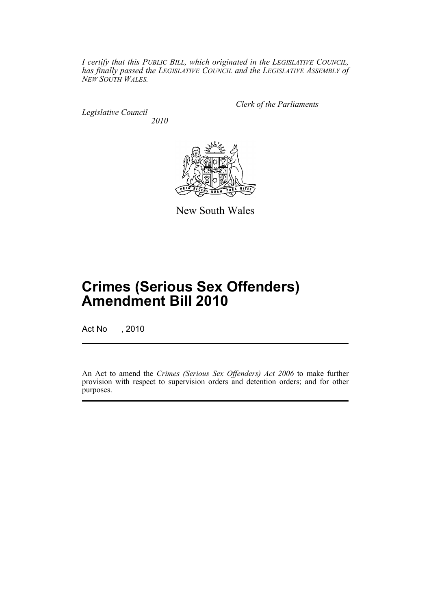*I certify that this PUBLIC BILL, which originated in the LEGISLATIVE COUNCIL, has finally passed the LEGISLATIVE COUNCIL and the LEGISLATIVE ASSEMBLY of NEW SOUTH WALES.*

*Legislative Council 2010* *Clerk of the Parliaments*



New South Wales

# **Crimes (Serious Sex Offenders) Amendment Bill 2010**

Act No , 2010

An Act to amend the *Crimes (Serious Sex Offenders) Act 2006* to make further provision with respect to supervision orders and detention orders; and for other purposes.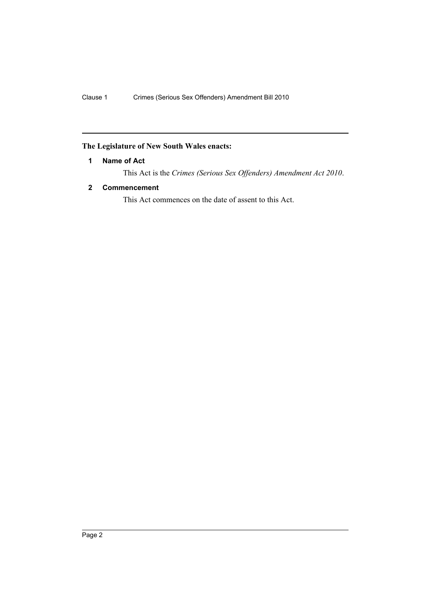# <span id="page-3-0"></span>**The Legislature of New South Wales enacts:**

# **1 Name of Act**

This Act is the *Crimes (Serious Sex Offenders) Amendment Act 2010*.

# <span id="page-3-1"></span>**2 Commencement**

This Act commences on the date of assent to this Act.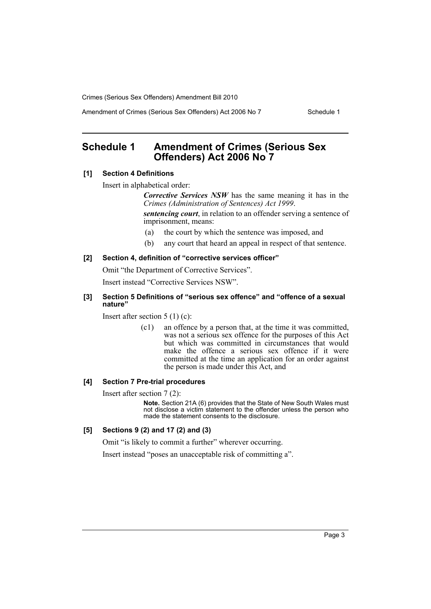Amendment of Crimes (Serious Sex Offenders) Act 2006 No 7 Schedule 1

# <span id="page-4-0"></span>**Schedule 1 Amendment of Crimes (Serious Sex Offenders) Act 2006 No 7**

# **[1] Section 4 Definitions**

Insert in alphabetical order:

*Corrective Services NSW* has the same meaning it has in the *Crimes (Administration of Sentences) Act 1999*.

*sentencing court*, in relation to an offender serving a sentence of imprisonment, means:

- (a) the court by which the sentence was imposed, and
- (b) any court that heard an appeal in respect of that sentence.

#### **[2] Section 4, definition of "corrective services officer"**

Omit "the Department of Corrective Services".

Insert instead "Corrective Services NSW".

## **[3] Section 5 Definitions of "serious sex offence" and "offence of a sexual nature"**

Insert after section 5 (1) (c):

(c1) an offence by a person that, at the time it was committed, was not a serious sex offence for the purposes of this Act but which was committed in circumstances that would make the offence a serious sex offence if it were committed at the time an application for an order against the person is made under this Act, and

#### **[4] Section 7 Pre-trial procedures**

Insert after section 7 (2):

**Note.** Section 21A (6) provides that the State of New South Wales must not disclose a victim statement to the offender unless the person who made the statement consents to the disclosure.

## **[5] Sections 9 (2) and 17 (2) and (3)**

Omit "is likely to commit a further" wherever occurring.

Insert instead "poses an unacceptable risk of committing a".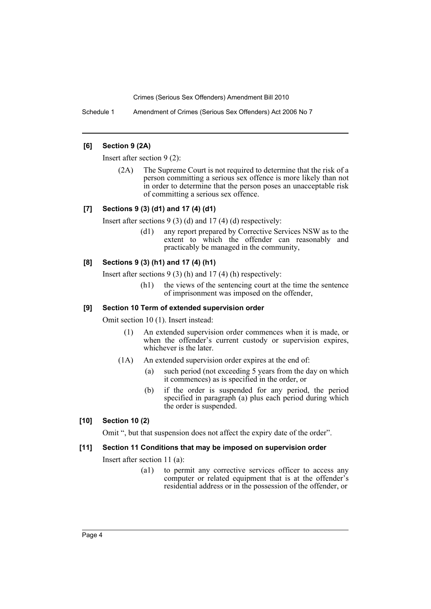Schedule 1 Amendment of Crimes (Serious Sex Offenders) Act 2006 No 7

# **[6] Section 9 (2A)**

Insert after section 9 (2):

(2A) The Supreme Court is not required to determine that the risk of a person committing a serious sex offence is more likely than not in order to determine that the person poses an unacceptable risk of committing a serious sex offence.

# **[7] Sections 9 (3) (d1) and 17 (4) (d1)**

Insert after sections 9 (3) (d) and 17 (4) (d) respectively:

(d1) any report prepared by Corrective Services NSW as to the extent to which the offender can reasonably and practicably be managed in the community,

### **[8] Sections 9 (3) (h1) and 17 (4) (h1)**

Insert after sections 9 (3) (h) and 17 (4) (h) respectively:

(h1) the views of the sentencing court at the time the sentence of imprisonment was imposed on the offender,

#### **[9] Section 10 Term of extended supervision order**

Omit section 10 (1). Insert instead:

- (1) An extended supervision order commences when it is made, or when the offender's current custody or supervision expires, whichever is the later.
- (1A) An extended supervision order expires at the end of:
	- (a) such period (not exceeding 5 years from the day on which it commences) as is specified in the order, or
	- (b) if the order is suspended for any period, the period specified in paragraph (a) plus each period during which the order is suspended.

# **[10] Section 10 (2)**

Omit ", but that suspension does not affect the expiry date of the order".

# **[11] Section 11 Conditions that may be imposed on supervision order**

Insert after section 11 (a):

(a1) to permit any corrective services officer to access any computer or related equipment that is at the offender's residential address or in the possession of the offender, or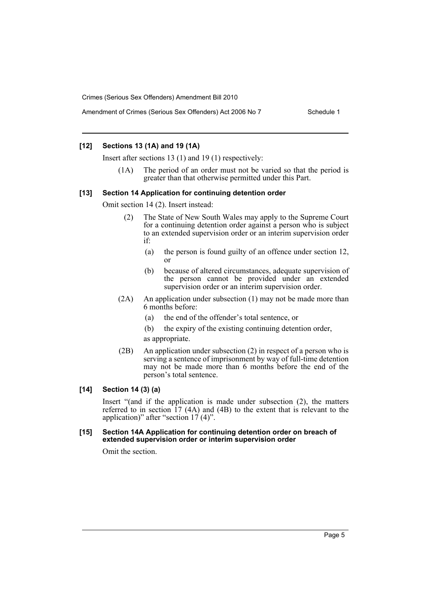### **[12] Sections 13 (1A) and 19 (1A)**

Insert after sections 13 (1) and 19 (1) respectively:

(1A) The period of an order must not be varied so that the period is greater than that otherwise permitted under this Part.

#### **[13] Section 14 Application for continuing detention order**

Omit section 14 (2). Insert instead:

- (2) The State of New South Wales may apply to the Supreme Court for a continuing detention order against a person who is subject to an extended supervision order or an interim supervision order if:
	- (a) the person is found guilty of an offence under section 12, or
	- (b) because of altered circumstances, adequate supervision of the person cannot be provided under an extended supervision order or an interim supervision order.
- (2A) An application under subsection (1) may not be made more than 6 months before:
	- (a) the end of the offender's total sentence, or
	- (b) the expiry of the existing continuing detention order,
	- as appropriate.
- (2B) An application under subsection (2) in respect of a person who is serving a sentence of imprisonment by way of full-time detention may not be made more than 6 months before the end of the person's total sentence.

#### **[14] Section 14 (3) (a)**

Insert "(and if the application is made under subsection (2), the matters referred to in section  $17 \text{ (4A)}$  and  $(4B)$  to the extent that is relevant to the application)" after "section  $17' (4)$ ".

#### **[15] Section 14A Application for continuing detention order on breach of extended supervision order or interim supervision order**

Omit the section.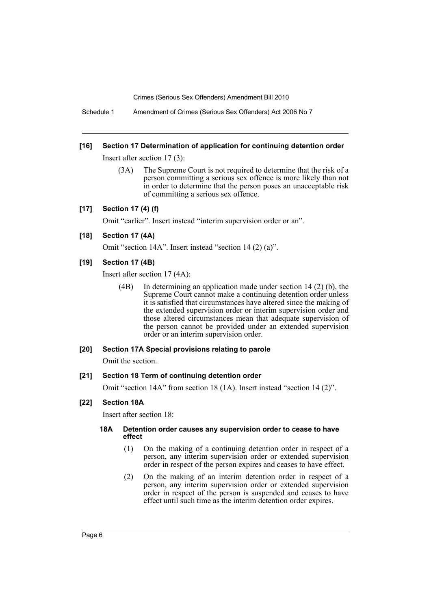Schedule 1 Amendment of Crimes (Serious Sex Offenders) Act 2006 No 7

#### **[16] Section 17 Determination of application for continuing detention order**

Insert after section 17 (3):

(3A) The Supreme Court is not required to determine that the risk of a person committing a serious sex offence is more likely than not in order to determine that the person poses an unacceptable risk of committing a serious sex offence.

### **[17] Section 17 (4) (f)**

Omit "earlier". Insert instead "interim supervision order or an".

## **[18] Section 17 (4A)**

Omit "section 14A". Insert instead "section 14 (2) (a)".

#### **[19] Section 17 (4B)**

Insert after section 17 (4A):

(4B) In determining an application made under section 14 (2) (b), the Supreme Court cannot make a continuing detention order unless it is satisfied that circumstances have altered since the making of the extended supervision order or interim supervision order and those altered circumstances mean that adequate supervision of the person cannot be provided under an extended supervision order or an interim supervision order.

#### **[20] Section 17A Special provisions relating to parole**

Omit the section.

#### **[21] Section 18 Term of continuing detention order**

Omit "section 14A" from section 18 (1A). Insert instead "section 14 (2)".

#### **[22] Section 18A**

Insert after section 18:

#### **18A Detention order causes any supervision order to cease to have effect**

- (1) On the making of a continuing detention order in respect of a person, any interim supervision order or extended supervision order in respect of the person expires and ceases to have effect.
- (2) On the making of an interim detention order in respect of a person, any interim supervision order or extended supervision order in respect of the person is suspended and ceases to have effect until such time as the interim detention order expires.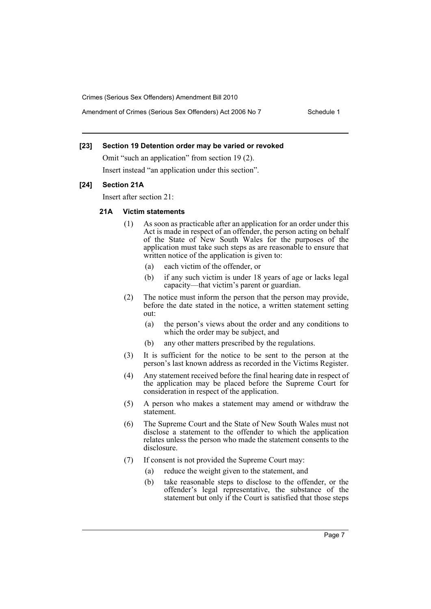### **[23] Section 19 Detention order may be varied or revoked**

Omit "such an application" from section 19 (2). Insert instead "an application under this section".

### **[24] Section 21A**

Insert after section 21:

# **21A Victim statements**

- (1) As soon as practicable after an application for an order under this Act is made in respect of an offender, the person acting on behalf of the State of New South Wales for the purposes of the application must take such steps as are reasonable to ensure that written notice of the application is given to:
	- (a) each victim of the offender, or
	- (b) if any such victim is under 18 years of age or lacks legal capacity—that victim's parent or guardian.
- (2) The notice must inform the person that the person may provide, before the date stated in the notice, a written statement setting out:
	- (a) the person's views about the order and any conditions to which the order may be subject, and
	- (b) any other matters prescribed by the regulations.
- (3) It is sufficient for the notice to be sent to the person at the person's last known address as recorded in the Victims Register.
- (4) Any statement received before the final hearing date in respect of the application may be placed before the Supreme Court for consideration in respect of the application.
- (5) A person who makes a statement may amend or withdraw the statement.
- (6) The Supreme Court and the State of New South Wales must not disclose a statement to the offender to which the application relates unless the person who made the statement consents to the disclosure.
- (7) If consent is not provided the Supreme Court may:
	- (a) reduce the weight given to the statement, and
	- (b) take reasonable steps to disclose to the offender, or the offender's legal representative, the substance of the statement but only if the Court is satisfied that those steps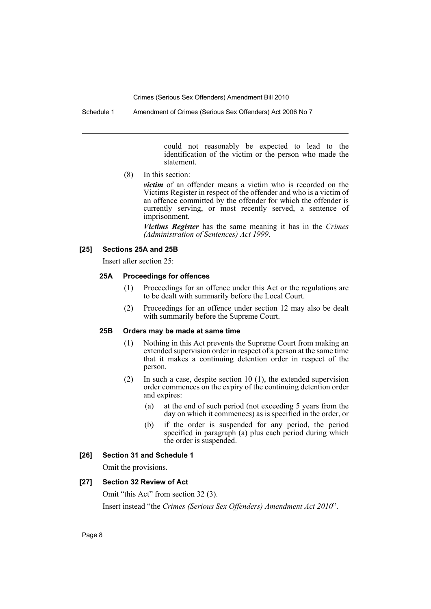could not reasonably be expected to lead to the identification of the victim or the person who made the statement.

(8) In this section:

*victim* of an offender means a victim who is recorded on the Victims Register in respect of the offender and who is a victim of an offence committed by the offender for which the offender is currently serving, or most recently served, a sentence of imprisonment.

*Victims Register* has the same meaning it has in the *Crimes (Administration of Sentences) Act 1999*.

#### **[25] Sections 25A and 25B**

Insert after section 25:

### **25A Proceedings for offences**

- (1) Proceedings for an offence under this Act or the regulations are to be dealt with summarily before the Local Court.
- (2) Proceedings for an offence under section 12 may also be dealt with summarily before the Supreme Court.

#### **25B Orders may be made at same time**

- (1) Nothing in this Act prevents the Supreme Court from making an extended supervision order in respect of a person at the same time that it makes a continuing detention order in respect of the person.
- (2) In such a case, despite section 10 (1), the extended supervision order commences on the expiry of the continuing detention order and expires:
	- (a) at the end of such period (not exceeding 5 years from the day on which it commences) as is specified in the order, or
	- (b) if the order is suspended for any period, the period specified in paragraph (a) plus each period during which the order is suspended.

#### **[26] Section 31 and Schedule 1**

Omit the provisions.

#### **[27] Section 32 Review of Act**

Omit "this Act" from section 32 (3). Insert instead "the *Crimes (Serious Sex Offenders) Amendment Act 2010*".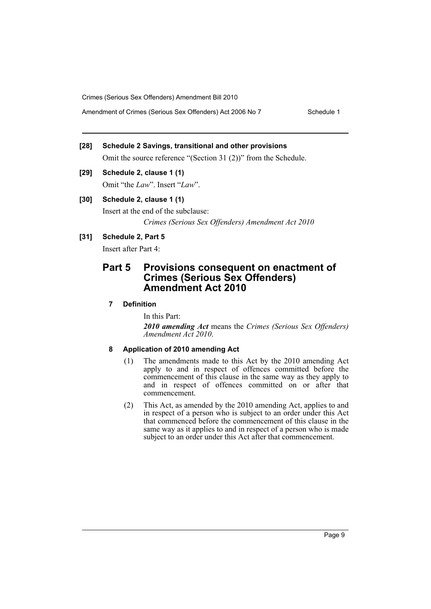Amendment of Crimes (Serious Sex Offenders) Act 2006 No 7 Schedule 1

# **[28] Schedule 2 Savings, transitional and other provisions**

Omit the source reference "(Section 31 (2))" from the Schedule.

# **[29] Schedule 2, clause 1 (1)**

Omit "the *Law*". Insert "*Law*".

# **[30] Schedule 2, clause 1 (1)**

Insert at the end of the subclause: *Crimes (Serious Sex Offenders) Amendment Act 2010*

# **[31] Schedule 2, Part 5**

Insert after Part 4:

# **Part 5 Provisions consequent on enactment of Crimes (Serious Sex Offenders) Amendment Act 2010**

# **7 Definition**

In this Part:

*2010 amending Act* means the *Crimes (Serious Sex Offenders) Amendment Act 2010*.

# **8 Application of 2010 amending Act**

- (1) The amendments made to this Act by the 2010 amending Act apply to and in respect of offences committed before the commencement of this clause in the same way as they apply to and in respect of offences committed on or after that commencement.
- (2) This Act, as amended by the 2010 amending Act, applies to and in respect of a person who is subject to an order under this Act that commenced before the commencement of this clause in the same way as it applies to and in respect of a person who is made subject to an order under this Act after that commencement.